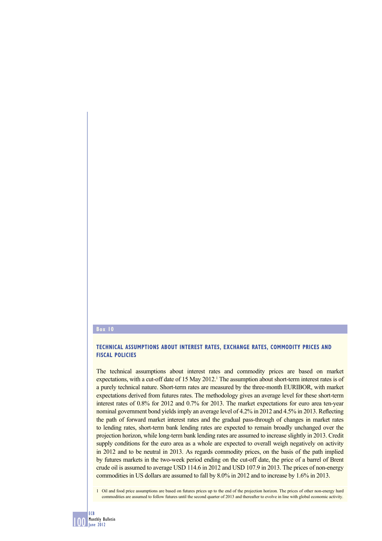## **Box 10**

## **TECHNICAL ASSUMPTIONS ABOUT INTEREST RATES, EXCHANGE RATES, COMMODITY PRICES AND FISCAL POLICIES**

The technical assumptions about interest rates and commodity prices are based on market expectations, with a cut-off date of 15 May 2012.<sup>1</sup> The assumption about short-term interest rates is of a purely technical nature. Short-term rates are measured by the three-month EURIBOR, with market expectations derived from futures rates. The methodology gives an average level for these short-term interest rates of 0.8% for 2012 and 0.7% for 2013. The market expectations for euro area ten-year nominal government bond yields imply an average level of 4.2% in 2012 and 4.5% in 2013. Reflecting the path of forward market interest rates and the gradual pass-through of changes in market rates to lending rates, short-term bank lending rates are expected to remain broadly unchanged over the projection horizon, while long-term bank lending rates are assumed to increase slightly in 2013. Credit supply conditions for the euro area as a whole are expected to overall weigh negatively on activity in 2012 and to be neutral in 2013. As regards commodity prices, on the basis of the path implied by futures markets in the two-week period ending on the cut-off date, the price of a barrel of Brent crude oil is assumed to average USD 114.6 in 2012 and USD 107.9 in 2013. The prices of non-energy commodities in US dollars are assumed to fall by 8.0% in 2012 and to increase by 1.6% in 2013.

1 Oil and food price assumptions are based on futures prices up to the end of the projection horizon. The prices of other non-energy hard commodities are assumed to follow futures until the second quarter of 2013 and thereafter to evolve in line with global economic activity.